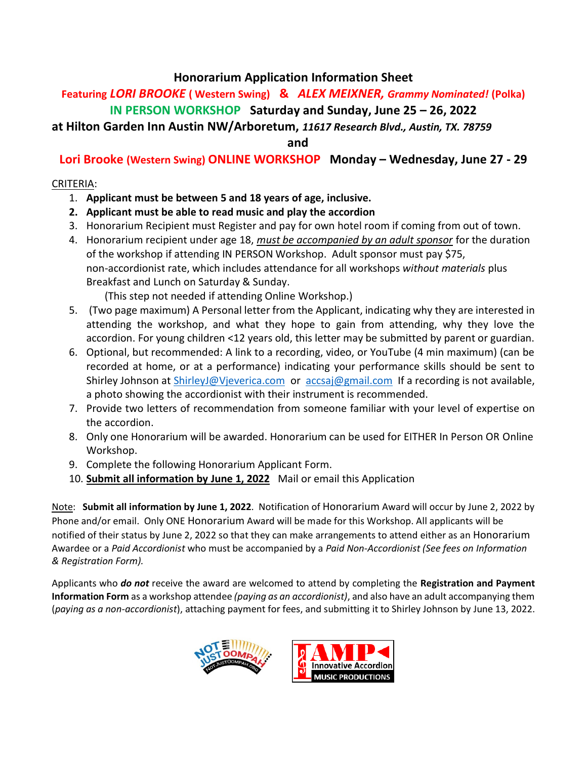### **Honorarium Application Information Sheet**

## **Featuring** *LORI BROOKE* **( Western Swing) &** *ALEX MEIXNER, Grammy Nominated!* **(Polka) IN PERSON WORKSHOP Saturday and Sunday, June 25 – 26, 2022**

**at Hilton Garden Inn Austin NW/Arboretum,** *11617 Research Blvd., Austin, TX. 78759*

 **and**

### **Lori Brooke (Western Swing) ONLINE WORKSHOP****Monday – Wednesday, June 27 - 29**

#### CRITERIA:

- 1. **Applicant must be between 5 and 18 years of age, inclusive.**
- **2. Applicant must be able to read music and play the accordion**
- 3. Honorarium Recipient must Register and pay for own hotel room if coming from out of town.
- 4. Honorarium recipient under age 18, *must be accompanied by an adult sponsor* for the duration of the workshop if attending IN PERSON Workshop. Adult sponsor must pay \$75, non-accordionist rate, which includes attendance for all workshops *without materials* plus Breakfast and Lunch on Saturday & Sunday.

(This step not needed if attending Online Workshop.)

- 5. (Two page maximum) A Personal letter from the Applicant, indicating why they are interested in attending the workshop, and what they hope to gain from attending, why they love the accordion. For young children <12 years old, this letter may be submitted by parent or guardian.
- 6. Optional, but recommended: A link to a recording, video, or YouTube (4 min maximum) (can be recorded at home, or at a performance) indicating your performance skills should be sent to Shirley Johnson at [ShirleyJ@Vjeverica.com](mailto:ShirleyJ@Vjeverica.com) or [accsaj@gmail.com](mailto:accsaj@gmail.com) If a recording is not available, a photo showing the accordionist with their instrument is recommended.
- 7. Provide two letters of recommendation from someone familiar with your level of expertise on the accordion.
- 8. Only one Honorarium will be awarded. Honorarium can be used for EITHER In Person OR Online Workshop.
- 9. Complete the following Honorarium Applicant Form.
- 10. **Submit all information by June 1, 2022** Mail or email this Application

Note: **Submit all information by June 1, 2022**. Notification of Honorarium Award will occur by June 2, 2022 by Phone and/or email. Only ONE Honorarium Award will be made for this Workshop. All applicants will be notified of their status by June 2, 2022 so that they can make arrangements to attend either as an Honorarium Awardee or a *Paid Accordionist* who must be accompanied by a *Paid Non-Accordionist (See fees on Information & Registration Form).* 

Applicants who *do not* receive the award are welcomed to attend by completing the **Registration and Payment Information Form** as a workshop attendee *(paying as an accordionist)*, and also have an adult accompanying them (*paying as a non-accordionist*), attaching payment for fees, and submitting it to Shirley Johnson by June 13, 2022.



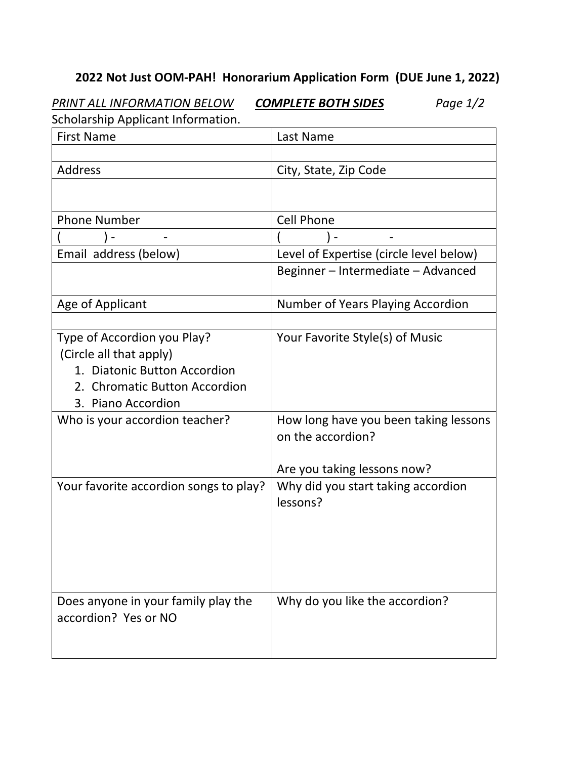# **2022 Not Just OOM-PAH! Honorarium Application Form (DUE June 1, 2022)**

*PRINT ALL INFORMATION BELOW COMPLETE BOTH SIDES Page 1/2* Scholarship Applicant Information.

| Scholarship Applicant information.     |                                         |
|----------------------------------------|-----------------------------------------|
| <b>First Name</b>                      | Last Name                               |
|                                        |                                         |
| <b>Address</b>                         | City, State, Zip Code                   |
|                                        |                                         |
|                                        |                                         |
| <b>Phone Number</b>                    | <b>Cell Phone</b>                       |
|                                        |                                         |
| Email address (below)                  | Level of Expertise (circle level below) |
|                                        | Beginner - Intermediate - Advanced      |
| Age of Applicant                       | Number of Years Playing Accordion       |
|                                        |                                         |
| Type of Accordion you Play?            | Your Favorite Style(s) of Music         |
| (Circle all that apply)                |                                         |
| 1. Diatonic Button Accordion           |                                         |
| 2. Chromatic Button Accordion          |                                         |
| 3. Piano Accordion                     |                                         |
| Who is your accordion teacher?         | How long have you been taking lessons   |
|                                        | on the accordion?                       |
|                                        |                                         |
|                                        | Are you taking lessons now?             |
| Your favorite accordion songs to play? | Why did you start taking accordion      |
|                                        | lessons?                                |
|                                        |                                         |
|                                        |                                         |
|                                        |                                         |
|                                        |                                         |
|                                        |                                         |
| Does anyone in your family play the    | Why do you like the accordion?          |
| accordion? Yes or NO                   |                                         |
|                                        |                                         |
|                                        |                                         |